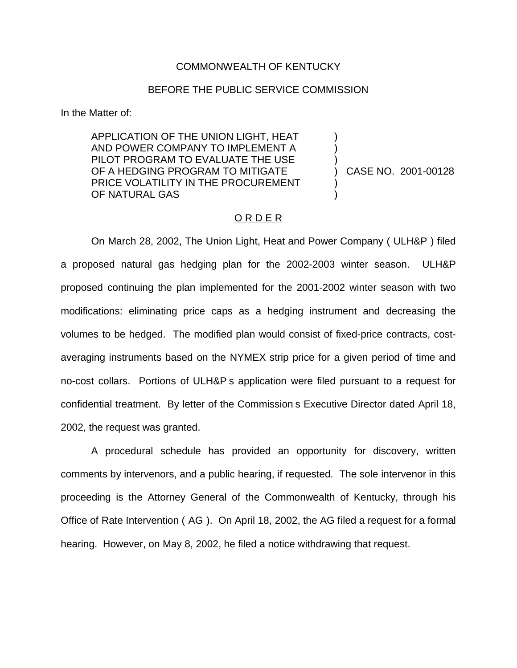## COMMONWEALTH OF KENTUCKY

## BEFORE THE PUBLIC SERVICE COMMISSION

In the Matter of:

APPLICATION OF THE UNION LIGHT, HEAT ) AND POWER COMPANY TO IMPLEMENT A ) PILOT PROGRAM TO EVALUATE THE USE OF A HEDGING PROGRAM TO MITIGATE (2001-00128 PRICE VOLATILITY IN THE PROCUREMENT OF NATURAL GAS

# O R D E R

On March 28, 2002, The Union Light, Heat and Power Company ( ULH&P ) filed a proposed natural gas hedging plan for the 2002-2003 winter season. ULH&P proposed continuing the plan implemented for the 2001-2002 winter season with two modifications: eliminating price caps as a hedging instrument and decreasing the volumes to be hedged. The modified plan would consist of fixed-price contracts, costaveraging instruments based on the NYMEX strip price for a given period of time and no-cost collars. Portions of ULH&P s application were filed pursuant to a request for confidential treatment. By letter of the Commission s Executive Director dated April 18, 2002, the request was granted.

A procedural schedule has provided an opportunity for discovery, written comments by intervenors, and a public hearing, if requested. The sole intervenor in this proceeding is the Attorney General of the Commonwealth of Kentucky, through his Office of Rate Intervention ( AG ). On April 18, 2002, the AG filed a request for a formal hearing. However, on May 8, 2002, he filed a notice withdrawing that request.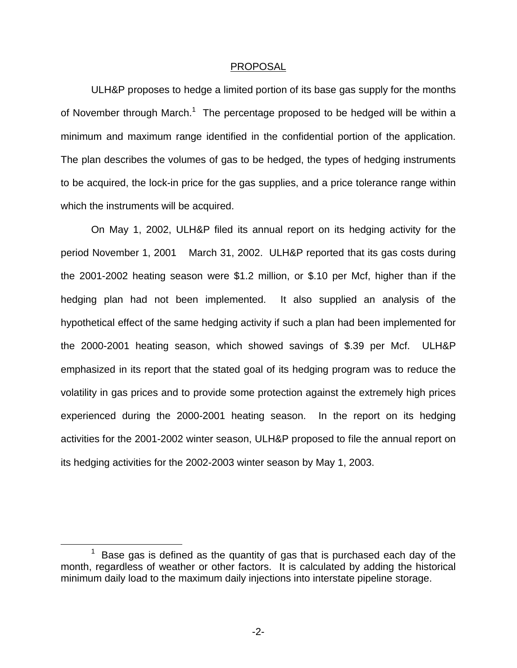### PROPOSAL

ULH&P proposes to hedge a limited portion of its base gas supply for the months of November through March.<sup>1</sup> The percentage proposed to be hedged will be within a minimum and maximum range identified in the confidential portion of the application. The plan describes the volumes of gas to be hedged, the types of hedging instruments to be acquired, the lock-in price for the gas supplies, and a price tolerance range within which the instruments will be acquired.

On May 1, 2002, ULH&P filed its annual report on its hedging activity for the period November 1, 2001 March 31, 2002. ULH&P reported that its gas costs during the 2001-2002 heating season were \$1.2 million, or \$.10 per Mcf, higher than if the hedging plan had not been implemented. It also supplied an analysis of the hypothetical effect of the same hedging activity if such a plan had been implemented for the 2000-2001 heating season, which showed savings of \$.39 per Mcf. ULH&P emphasized in its report that the stated goal of its hedging program was to reduce the volatility in gas prices and to provide some protection against the extremely high prices experienced during the 2000-2001 heating season. In the report on its hedging activities for the 2001-2002 winter season, ULH&P proposed to file the annual report on its hedging activities for the 2002-2003 winter season by May 1, 2003.

 $1$  Base gas is defined as the quantity of gas that is purchased each day of the month, regardless of weather or other factors. It is calculated by adding the historical minimum daily load to the maximum daily injections into interstate pipeline storage.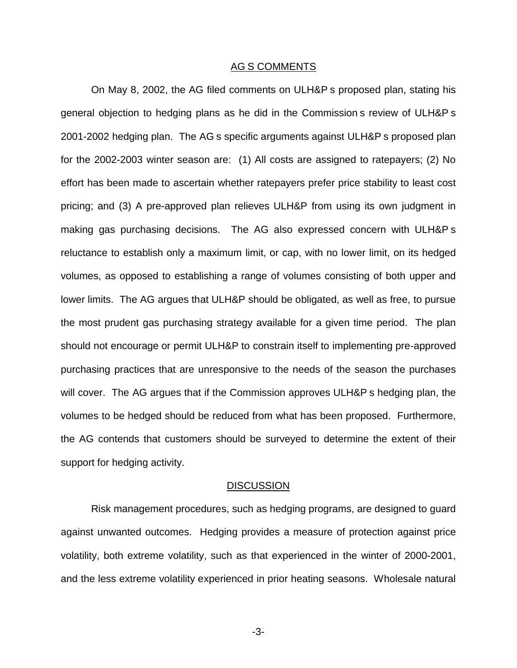### AG S COMMENTS

On May 8, 2002, the AG filed comments on ULH&P s proposed plan, stating his general objection to hedging plans as he did in the Commission s review of ULH&P s 2001-2002 hedging plan. The AG s specific arguments against ULH&P s proposed plan for the 2002-2003 winter season are: (1) All costs are assigned to ratepayers; (2) No effort has been made to ascertain whether ratepayers prefer price stability to least cost pricing; and (3) A pre-approved plan relieves ULH&P from using its own judgment in making gas purchasing decisions. The AG also expressed concern with ULH&P s reluctance to establish only a maximum limit, or cap, with no lower limit, on its hedged volumes, as opposed to establishing a range of volumes consisting of both upper and lower limits. The AG argues that ULH&P should be obligated, as well as free, to pursue the most prudent gas purchasing strategy available for a given time period. The plan should not encourage or permit ULH&P to constrain itself to implementing pre-approved purchasing practices that are unresponsive to the needs of the season the purchases will cover. The AG argues that if the Commission approves ULH&P s hedging plan, the volumes to be hedged should be reduced from what has been proposed. Furthermore, the AG contends that customers should be surveyed to determine the extent of their support for hedging activity.

#### DISCUSSION

Risk management procedures, such as hedging programs, are designed to guard against unwanted outcomes. Hedging provides a measure of protection against price volatility, both extreme volatility, such as that experienced in the winter of 2000-2001, and the less extreme volatility experienced in prior heating seasons. Wholesale natural

-3-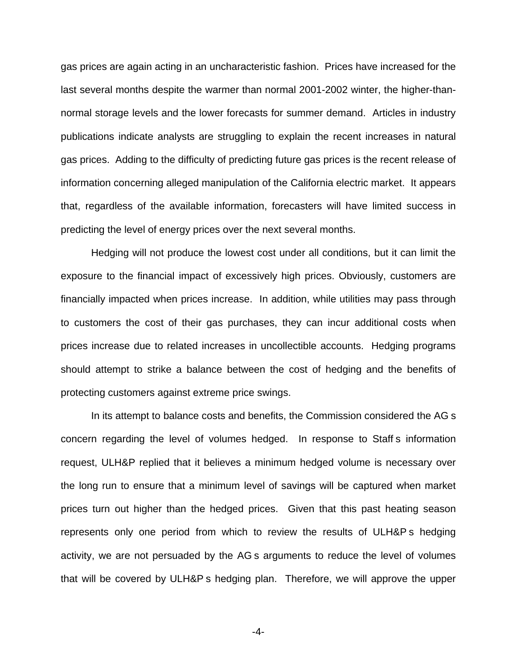gas prices are again acting in an uncharacteristic fashion. Prices have increased for the last several months despite the warmer than normal 2001-2002 winter, the higher-thannormal storage levels and the lower forecasts for summer demand. Articles in industry publications indicate analysts are struggling to explain the recent increases in natural gas prices. Adding to the difficulty of predicting future gas prices is the recent release of information concerning alleged manipulation of the California electric market. It appears that, regardless of the available information, forecasters will have limited success in predicting the level of energy prices over the next several months.

Hedging will not produce the lowest cost under all conditions, but it can limit the exposure to the financial impact of excessively high prices. Obviously, customers are financially impacted when prices increase. In addition, while utilities may pass through to customers the cost of their gas purchases, they can incur additional costs when prices increase due to related increases in uncollectible accounts. Hedging programs should attempt to strike a balance between the cost of hedging and the benefits of protecting customers against extreme price swings.

In its attempt to balance costs and benefits, the Commission considered the AG s concern regarding the level of volumes hedged. In response to Staff s information request, ULH&P replied that it believes a minimum hedged volume is necessary over the long run to ensure that a minimum level of savings will be captured when market prices turn out higher than the hedged prices. Given that this past heating season represents only one period from which to review the results of ULH&P s hedging activity, we are not persuaded by the AG s arguments to reduce the level of volumes that will be covered by ULH&P s hedging plan. Therefore, we will approve the upper

-4-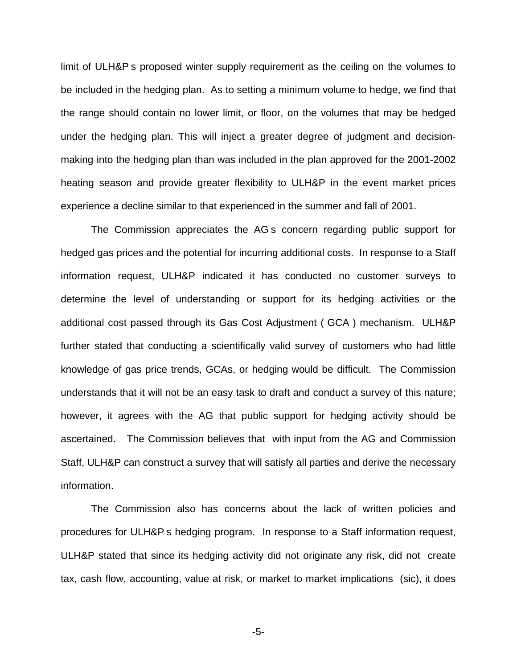limit of ULH&P s proposed winter supply requirement as the ceiling on the volumes to be included in the hedging plan. As to setting a minimum volume to hedge, we find that the range should contain no lower limit, or floor, on the volumes that may be hedged under the hedging plan. This will inject a greater degree of judgment and decisionmaking into the hedging plan than was included in the plan approved for the 2001-2002 heating season and provide greater flexibility to ULH&P in the event market prices experience a decline similar to that experienced in the summer and fall of 2001.

The Commission appreciates the AG s concern regarding public support for hedged gas prices and the potential for incurring additional costs. In response to a Staff information request, ULH&P indicated it has conducted no customer surveys to determine the level of understanding or support for its hedging activities or the additional cost passed through its Gas Cost Adjustment ( GCA ) mechanism. ULH&P further stated that conducting a scientifically valid survey of customers who had little knowledge of gas price trends, GCAs, or hedging would be difficult. The Commission understands that it will not be an easy task to draft and conduct a survey of this nature; however, it agrees with the AG that public support for hedging activity should be ascertained. The Commission believes that with input from the AG and Commission Staff, ULH&P can construct a survey that will satisfy all parties and derive the necessary information.

The Commission also has concerns about the lack of written policies and procedures for ULH&P s hedging program. In response to a Staff information request, ULH&P stated that since its hedging activity did not originate any risk, did not create tax, cash flow, accounting, value at risk, or market to market implications (sic), it does

-5-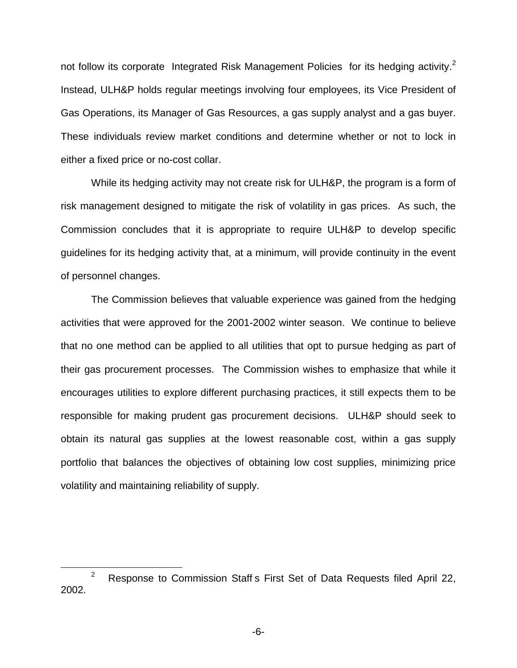not follow its corporate Integrated Risk Management Policies for its hedging activity.<sup>2</sup> Instead, ULH&P holds regular meetings involving four employees, its Vice President of Gas Operations, its Manager of Gas Resources, a gas supply analyst and a gas buyer. These individuals review market conditions and determine whether or not to lock in either a fixed price or no-cost collar.

While its hedging activity may not create risk for ULH&P, the program is a form of risk management designed to mitigate the risk of volatility in gas prices. As such, the Commission concludes that it is appropriate to require ULH&P to develop specific guidelines for its hedging activity that, at a minimum, will provide continuity in the event of personnel changes.

The Commission believes that valuable experience was gained from the hedging activities that were approved for the 2001-2002 winter season. We continue to believe that no one method can be applied to all utilities that opt to pursue hedging as part of their gas procurement processes. The Commission wishes to emphasize that while it encourages utilities to explore different purchasing practices, it still expects them to be responsible for making prudent gas procurement decisions. ULH&P should seek to obtain its natural gas supplies at the lowest reasonable cost, within a gas supply portfolio that balances the objectives of obtaining low cost supplies, minimizing price volatility and maintaining reliability of supply.

-6-

<sup>&</sup>lt;sup>2</sup> Response to Commission Staff s First Set of Data Requests filed April 22, 2002.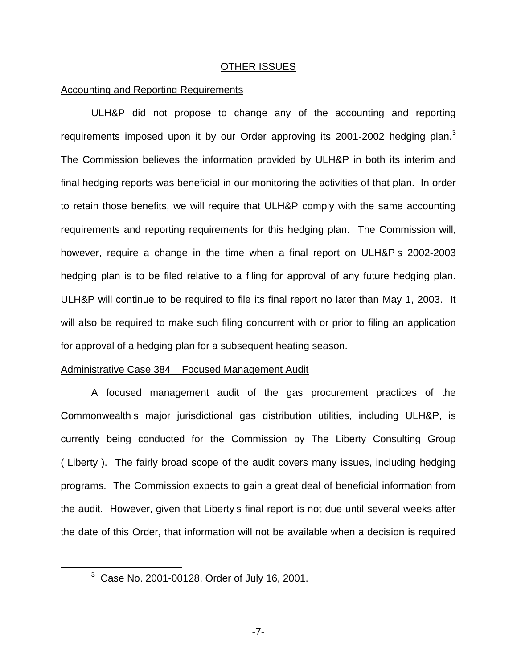## OTHER ISSUES

## Accounting and Reporting Requirements

ULH&P did not propose to change any of the accounting and reporting requirements imposed upon it by our Order approving its 2001-2002 hedging plan.<sup>3</sup> The Commission believes the information provided by ULH&P in both its interim and final hedging reports was beneficial in our monitoring the activities of that plan. In order to retain those benefits, we will require that ULH&P comply with the same accounting requirements and reporting requirements for this hedging plan. The Commission will, however, require a change in the time when a final report on ULH&P s 2002-2003 hedging plan is to be filed relative to a filing for approval of any future hedging plan. ULH&P will continue to be required to file its final report no later than May 1, 2003. It will also be required to make such filing concurrent with or prior to filing an application for approval of a hedging plan for a subsequent heating season.

### Administrative Case 384 Focused Management Audit

A focused management audit of the gas procurement practices of the Commonwealth s major jurisdictional gas distribution utilities, including ULH&P, is currently being conducted for the Commission by The Liberty Consulting Group ( Liberty ). The fairly broad scope of the audit covers many issues, including hedging programs. The Commission expects to gain a great deal of beneficial information from the audit. However, given that Liberty s final report is not due until several weeks after the date of this Order, that information will not be available when a decision is required

<sup>3</sup> Case No. 2001-00128, Order of July 16, 2001.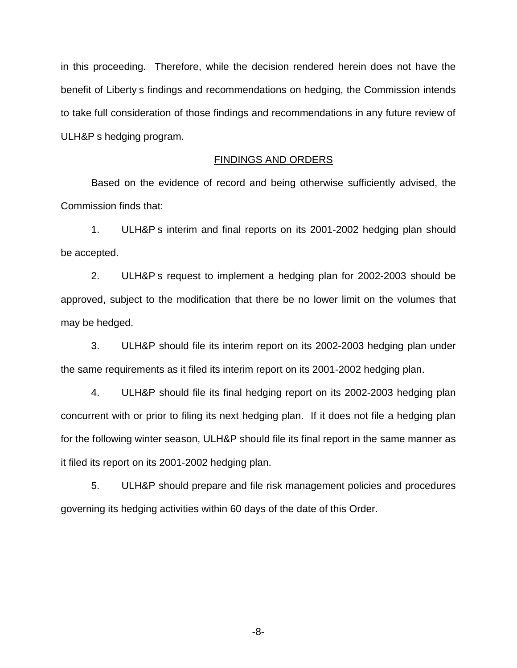in this proceeding. Therefore, while the decision rendered herein does not have the benefit of Liberty s findings and recommendations on hedging, the Commission intends to take full consideration of those findings and recommendations in any future review of ULH&P s hedging program.

## FINDINGS AND ORDERS

Based on the evidence of record and being otherwise sufficiently advised, the Commission finds that:

1. ULH&P s interim and final reports on its 2001-2002 hedging plan should be accepted.

2. ULH&P s request to implement a hedging plan for 2002-2003 should be approved, subject to the modification that there be no lower limit on the volumes that may be hedged.

3. ULH&P should file its interim report on its 2002-2003 hedging plan under the same requirements as it filed its interim report on its 2001-2002 hedging plan.

4. ULH&P should file its final hedging report on its 2002-2003 hedging plan concurrent with or prior to filing its next hedging plan. If it does not file a hedging plan for the following winter season, ULH&P should file its final report in the same manner as it filed its report on its 2001-2002 hedging plan.

5. ULH&P should prepare and file risk management policies and procedures governing its hedging activities within 60 days of the date of this Order.

-8-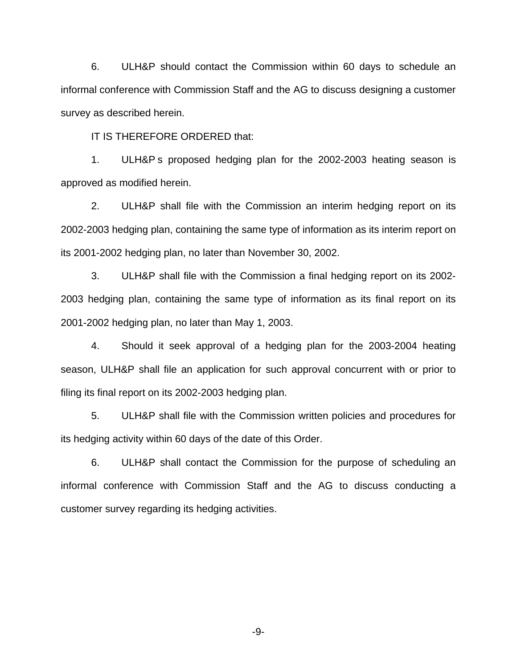6. ULH&P should contact the Commission within 60 days to schedule an informal conference with Commission Staff and the AG to discuss designing a customer survey as described herein.

IT IS THEREFORE ORDERED that:

1. ULH&P s proposed hedging plan for the 2002-2003 heating season is approved as modified herein.

2. ULH&P shall file with the Commission an interim hedging report on its 2002-2003 hedging plan, containing the same type of information as its interim report on its 2001-2002 hedging plan, no later than November 30, 2002.

3. ULH&P shall file with the Commission a final hedging report on its 2002- 2003 hedging plan, containing the same type of information as its final report on its 2001-2002 hedging plan, no later than May 1, 2003.

4. Should it seek approval of a hedging plan for the 2003-2004 heating season, ULH&P shall file an application for such approval concurrent with or prior to filing its final report on its 2002-2003 hedging plan.

5. ULH&P shall file with the Commission written policies and procedures for its hedging activity within 60 days of the date of this Order.

6. ULH&P shall contact the Commission for the purpose of scheduling an informal conference with Commission Staff and the AG to discuss conducting a customer survey regarding its hedging activities.

-9-